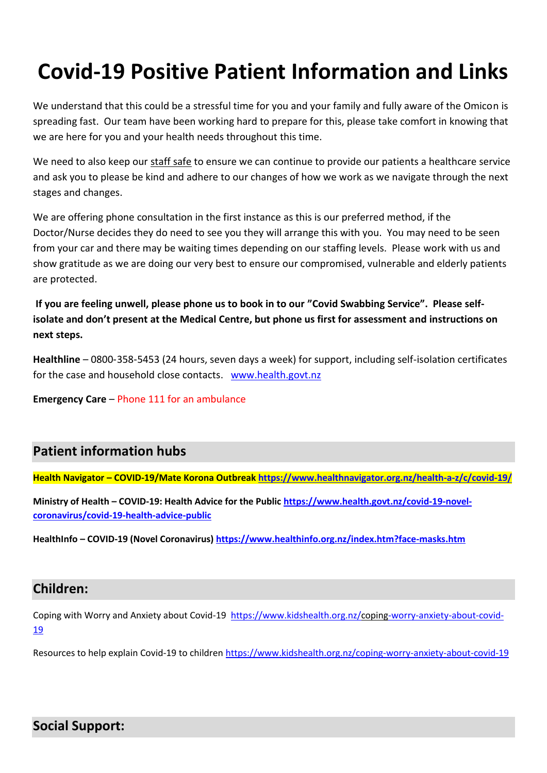# **Covid-19 Positive Patient Information and Links**

We understand that this could be a stressful time for you and your family and fully aware of the Omicon is spreading fast. Our team have been working hard to prepare for this, please take comfort in knowing that we are here for you and your health needs throughout this time.

We need to also keep our staff safe to ensure we can continue to provide our patients a healthcare service and ask you to please be kind and adhere to our changes of how we work as we navigate through the next stages and changes.

We are offering phone consultation in the first instance as this is our preferred method, if the Doctor/Nurse decides they do need to see you they will arrange this with you. You may need to be seen from your car and there may be waiting times depending on our staffing levels. Please work with us and show gratitude as we are doing our very best to ensure our compromised, vulnerable and elderly patients are protected.

**If you are feeling unwell, please phone us to book in to our "Covid Swabbing Service". Please selfisolate and don't present at the Medical Centre, but phone us first for assessment and instructions on next steps.** 

**Healthline** – 0800‑358‑5453 (24 hours, seven days a week) for support, including self-isolation certificates for the case and household close contacts. [www.health.govt.nz](http://www.health.govt.nz/)

**Emergency Care** – Phone 111 for an ambulance

# **Patient information hubs**

**Health Navigator – COVID-19/Mate Korona Outbreak<https://www.healthnavigator.org.nz/health-a-z/c/covid-19/>**

**Ministry of Health – COVID-19: Health Advice for the Public [https://www.health.govt.nz/covid-19-novel](https://www.health.govt.nz/covid-19-novel-coronavirus/covid-19-health-advice-public)[coronavirus/covid-19-health-advice-public](https://www.health.govt.nz/covid-19-novel-coronavirus/covid-19-health-advice-public)**

**HealthInfo – COVID-19 (Novel Coronavirus) <https://www.healthinfo.org.nz/index.htm?face-masks.htm>**

#### **Children:**

Coping with Worry and Anxiety about Covid-19 [https://www.kidshealth.org.nz/coping-worry-anxiety-about-covid-](https://www.kidshealth.org.nz/coping-worry-anxiety-about-covid-19)[19](https://www.kidshealth.org.nz/coping-worry-anxiety-about-covid-19)

Resources to help explain Covid-19 to childre[n https://www.kidshealth.org.nz/coping-worry-anxiety-about-covid-19](https://www.kidshealth.org.nz/coping-worry-anxiety-about-covid-19)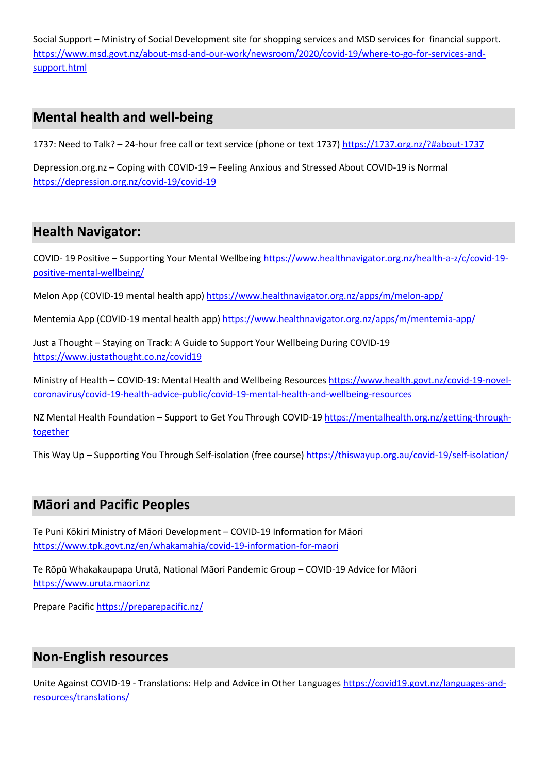Social Support – Ministry of Social Development site for shopping services and MSD services for financial support. [https://www.msd.govt.nz/about-msd-and-our-work/newsroom/2020/covid-19/where-to-go-for-services-and](https://www.msd.govt.nz/about-msd-and-our-work/newsroom/2020/covid-19/where-to-go-for-services-and-support.html)[support.html](https://www.msd.govt.nz/about-msd-and-our-work/newsroom/2020/covid-19/where-to-go-for-services-and-support.html)

## **Mental health and well-being**

1737: Need to Talk? – 24-hour free call or text service (phone or text 1737[\) https://1737.org.nz/?#about-1737](https://1737.org.nz/?#about-1737)

Depression.org.nz – Coping with COVID‑19 – Feeling Anxious and Stressed About COVID-19 is Normal <https://depression.org.nz/covid-19/covid-19>

## **Health Navigator:**

COVID- 19 Positive – Supporting Your Mental Wellbeing [https://www.healthnavigator.org.nz/health-a-z/c/covid-19](https://www.healthnavigator.org.nz/health-a-z/c/covid-19-positive-mental-wellbeing/) [positive-mental-wellbeing/](https://www.healthnavigator.org.nz/health-a-z/c/covid-19-positive-mental-wellbeing/)

Melon App (COVID-19 mental health app)<https://www.healthnavigator.org.nz/apps/m/melon-app/>

Mentemia App (COVID-19 mental health app) <https://www.healthnavigator.org.nz/apps/m/mentemia-app/>

Just a Thought – Staying on Track: A Guide to Support Your Wellbeing During COVID-19 <https://www.justathought.co.nz/covid19>

Ministry of Health – COVID-19: Mental Health and Wellbeing Resource[s https://www.health.govt.nz/covid-19-novel](https://www.health.govt.nz/covid-19-novel-coronavirus/covid-19-health-advice-public/covid-19-mental-health-and-wellbeing-resources)[coronavirus/covid-19-health-advice-public/covid-19-mental-health-and-wellbeing-resources](https://www.health.govt.nz/covid-19-novel-coronavirus/covid-19-health-advice-public/covid-19-mental-health-and-wellbeing-resources)

NZ Mental Health Foundation – Support to Get You Through COVID-19 [https://mentalhealth.org.nz/getting-through](https://mentalhealth.org.nz/getting-through-together)[together](https://mentalhealth.org.nz/getting-through-together)

This Way Up – Supporting You Through Self-isolation (free course[\) https://thiswayup.org.au/covid-19/self-isolation/](https://thiswayup.org.au/covid-19/self-isolation/)

#### **Māori and Pacific Peoples**

Te Puni Kōkiri Ministry of Māori Development – COVID‑19 Information for Māori <https://www.tpk.govt.nz/en/whakamahia/covid-19-information-for-maori>

Te Rōpū Whakakaupapa Urutā, National Māori Pandemic Group – COVID-19 Advice for Māori [https://www.uruta.maori.nz](https://www.uruta.maori.nz/)

Prepare Pacific<https://preparepacific.nz/>

#### **Non-English resources**

Unite Against COVID-19 - Translations: Help and Advice in Other Language[s https://covid19.govt.nz/languages-and](https://covid19.govt.nz/languages-and-resources/translations/)[resources/translations/](https://covid19.govt.nz/languages-and-resources/translations/)